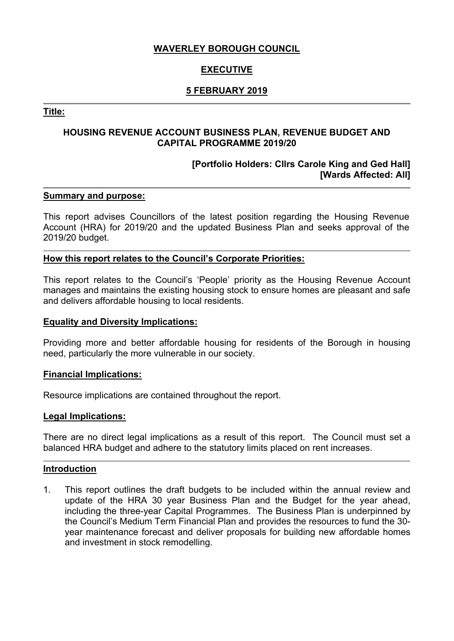## **WAVERLEY BOROUGH COUNCIL**

# **EXECUTIVE**

## **5 FEBRUARY 2019**

## **Title:**

## **HOUSING REVENUE ACCOUNT BUSINESS PLAN, REVENUE BUDGET AND CAPITAL PROGRAMME 2019/20**

## **[Portfolio Holders: Cllrs Carole King and Ged Hall] [Wards Affected: All]**

## **Summary and purpose:**

This report advises Councillors of the latest position regarding the Housing Revenue Account (HRA) for 2019/20 and the updated Business Plan and seeks approval of the 2019/20 budget.

#### **How this report relates to the Council's Corporate Priorities:**

This report relates to the Council's 'People' priority as the Housing Revenue Account manages and maintains the existing housing stock to ensure homes are pleasant and safe and delivers affordable housing to local residents.

#### **Equality and Diversity Implications:**

Providing more and better affordable housing for residents of the Borough in housing need, particularly the more vulnerable in our society.

#### **Financial Implications:**

Resource implications are contained throughout the report.

#### **Legal Implications:**

There are no direct legal implications as a result of this report. The Council must set a balanced HRA budget and adhere to the statutory limits placed on rent increases.

#### **Introduction**

1. This report outlines the draft budgets to be included within the annual review and update of the HRA 30 year Business Plan and the Budget for the year ahead, including the three-year Capital Programmes. The Business Plan is underpinned by the Council's Medium Term Financial Plan and provides the resources to fund the 30 year maintenance forecast and deliver proposals for building new affordable homes and investment in stock remodelling.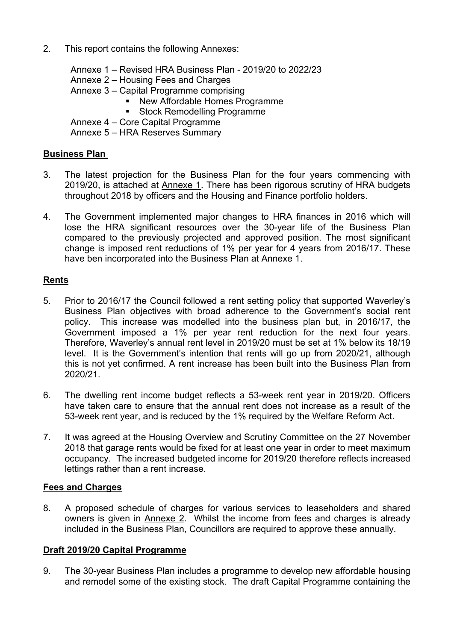2. This report contains the following Annexes:

Annexe 1 – Revised HRA Business Plan - 2019/20 to 2022/23 Annexe 2 – Housing Fees and Charges Annexe 3 – Capital Programme comprising New Affordable Homes Programme Stock Remodelling Programme

Annexe 4 – Core Capital Programme

Annexe 5 – HRA Reserves Summary

## **Business Plan**

- 3. The latest projection for the Business Plan for the four years commencing with 2019/20, is attached at Annexe 1. There has been rigorous scrutiny of HRA budgets throughout 2018 by officers and the Housing and Finance portfolio holders.
- 4. The Government implemented major changes to HRA finances in 2016 which will lose the HRA significant resources over the 30-year life of the Business Plan compared to the previously projected and approved position. The most significant change is imposed rent reductions of 1% per year for 4 years from 2016/17. These have ben incorporated into the Business Plan at Annexe 1.

## **Rents**

- 5. Prior to 2016/17 the Council followed a rent setting policy that supported Waverley's Business Plan objectives with broad adherence to the Government's social rent policy. This increase was modelled into the business plan but, in 2016/17, the Government imposed a 1% per year rent reduction for the next four years. Therefore, Waverley's annual rent level in 2019/20 must be set at 1% below its 18/19 level. It is the Government's intention that rents will go up from 2020/21, although this is not yet confirmed. A rent increase has been built into the Business Plan from 2020/21.
- 6. The dwelling rent income budget reflects a 53-week rent year in 2019/20. Officers have taken care to ensure that the annual rent does not increase as a result of the 53-week rent year, and is reduced by the 1% required by the Welfare Reform Act.
- 7. It was agreed at the Housing Overview and Scrutiny Committee on the 27 November 2018 that garage rents would be fixed for at least one year in order to meet maximum occupancy. The increased budgeted income for 2019/20 therefore reflects increased lettings rather than a rent increase.

## **Fees and Charges**

8. A proposed schedule of charges for various services to leaseholders and shared owners is given in Annexe 2. Whilst the income from fees and charges is already included in the Business Plan, Councillors are required to approve these annually.

## **Draft 2019/20 Capital Programme**

9. The 30-year Business Plan includes a programme to develop new affordable housing and remodel some of the existing stock. The draft Capital Programme containing the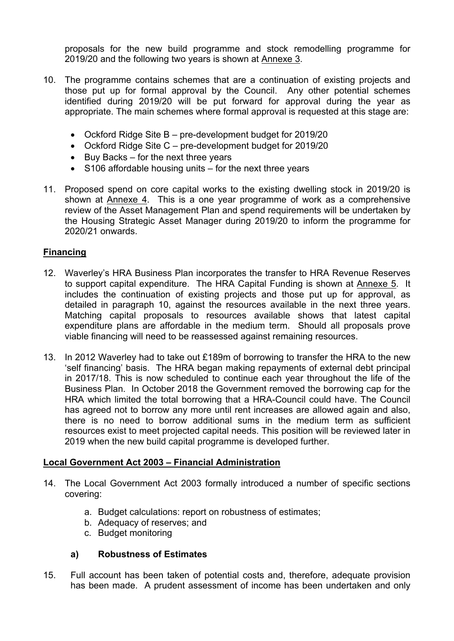proposals for the new build programme and stock remodelling programme for 2019/20 and the following two years is shown at Annexe 3.

- 10. The programme contains schemes that are a continuation of existing projects and those put up for formal approval by the Council. Any other potential schemes identified during 2019/20 will be put forward for approval during the year as appropriate. The main schemes where formal approval is requested at this stage are:
	- Ockford Ridge Site B pre-development budget for 2019/20
	- Ockford Ridge Site C pre-development budget for 2019/20
	- $\bullet$  Buy Backs for the next three years
	- S106 affordable housing units for the next three years
- 11. Proposed spend on core capital works to the existing dwelling stock in 2019/20 is shown at Annexe 4. This is a one year programme of work as a comprehensive review of the Asset Management Plan and spend requirements will be undertaken by the Housing Strategic Asset Manager during 2019/20 to inform the programme for 2020/21 onwards.

## **Financing**

- 12. Waverley's HRA Business Plan incorporates the transfer to HRA Revenue Reserves to support capital expenditure. The HRA Capital Funding is shown at Annexe 5. It includes the continuation of existing projects and those put up for approval, as detailed in paragraph 10, against the resources available in the next three years. Matching capital proposals to resources available shows that latest capital expenditure plans are affordable in the medium term. Should all proposals prove viable financing will need to be reassessed against remaining resources.
- 13. In 2012 Waverley had to take out £189m of borrowing to transfer the HRA to the new 'self financing' basis. The HRA began making repayments of external debt principal in 2017/18. This is now scheduled to continue each year throughout the life of the Business Plan. In October 2018 the Government removed the borrowing cap for the HRA which limited the total borrowing that a HRA-Council could have. The Council has agreed not to borrow any more until rent increases are allowed again and also, there is no need to borrow additional sums in the medium term as sufficient resources exist to meet projected capital needs. This position will be reviewed later in 2019 when the new build capital programme is developed further.

## **Local Government Act 2003 – Financial Administration**

- 14. The Local Government Act 2003 formally introduced a number of specific sections covering:
	- a. Budget calculations: report on robustness of estimates;
	- b. Adequacy of reserves; and
	- c. Budget monitoring

## **a) Robustness of Estimates**

15. Full account has been taken of potential costs and, therefore, adequate provision has been made. A prudent assessment of income has been undertaken and only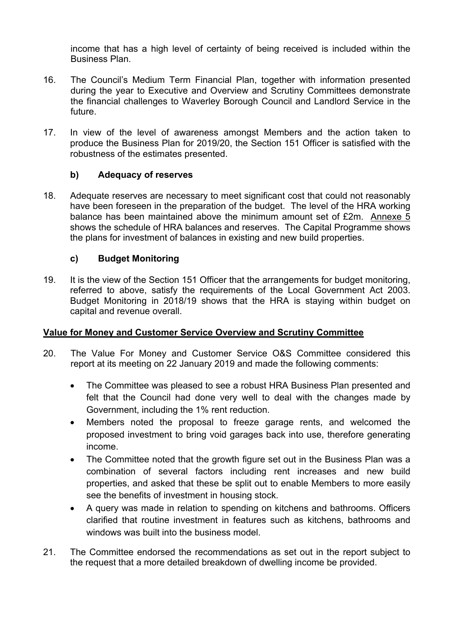income that has a high level of certainty of being received is included within the Business Plan.

- 16. The Council's Medium Term Financial Plan, together with information presented during the year to Executive and Overview and Scrutiny Committees demonstrate the financial challenges to Waverley Borough Council and Landlord Service in the future.
- 17. In view of the level of awareness amongst Members and the action taken to produce the Business Plan for 2019/20, the Section 151 Officer is satisfied with the robustness of the estimates presented.

## **b) Adequacy of reserves**

18. Adequate reserves are necessary to meet significant cost that could not reasonably have been foreseen in the preparation of the budget. The level of the HRA working balance has been maintained above the minimum amount set of £2m. Annexe 5 shows the schedule of HRA balances and reserves. The Capital Programme shows the plans for investment of balances in existing and new build properties.

## **c) Budget Monitoring**

19. It is the view of the Section 151 Officer that the arrangements for budget monitoring, referred to above, satisfy the requirements of the Local Government Act 2003. Budget Monitoring in 2018/19 shows that the HRA is staying within budget on capital and revenue overall.

## **Value for Money and Customer Service Overview and Scrutiny Committee**

- 20. The Value For Money and Customer Service O&S Committee considered this report at its meeting on 22 January 2019 and made the following comments:
	- The Committee was pleased to see a robust HRA Business Plan presented and felt that the Council had done very well to deal with the changes made by Government, including the 1% rent reduction.
	- Members noted the proposal to freeze garage rents, and welcomed the proposed investment to bring void garages back into use, therefore generating income.
	- The Committee noted that the growth figure set out in the Business Plan was a combination of several factors including rent increases and new build properties, and asked that these be split out to enable Members to more easily see the benefits of investment in housing stock.
	- A query was made in relation to spending on kitchens and bathrooms. Officers clarified that routine investment in features such as kitchens, bathrooms and windows was built into the business model
- 21. The Committee endorsed the recommendations as set out in the report subject to the request that a more detailed breakdown of dwelling income be provided.